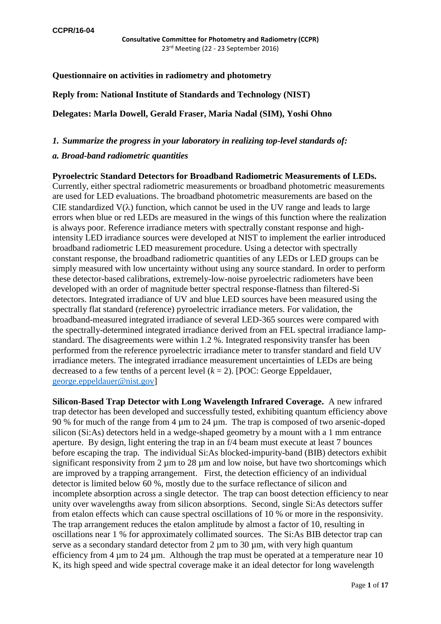# **Questionnaire on activities in radiometry and photometry**

### **Reply from: National Institute of Standards and Technology (NIST)**

**Delegates: Marla Dowell, Gerald Fraser, Maria Nadal (SIM), Yoshi Ohno**

## *1. Summarize the progress in your laboratory in realizing top-level standards of:*

### *a. Broad-band radiometric quantities*

**Pyroelectric Standard Detectors for Broadband Radiometric Measurements of LEDs.** Currently, either spectral radiometric measurements or broadband photometric measurements are used for LED evaluations. The broadband photometric measurements are based on the CIE standardized  $V(\lambda)$  function, which cannot be used in the UV range and leads to large errors when blue or red LEDs are measured in the wings of this function where the realization is always poor. Reference irradiance meters with spectrally constant response and highintensity LED irradiance sources were developed at NIST to implement the earlier introduced broadband radiometric LED measurement procedure. Using a detector with spectrally constant response, the broadband radiometric quantities of any LEDs or LED groups can be simply measured with low uncertainty without using any source standard. In order to perform these detector-based calibrations, extremely-low-noise pyroelectric radiometers have been developed with an order of magnitude better spectral response-flatness than filtered-Si detectors. Integrated irradiance of UV and blue LED sources have been measured using the spectrally flat standard (reference) pyroelectric irradiance meters. For validation, the broadband-measured integrated irradiance of several LED-365 sources were compared with the spectrally-determined integrated irradiance derived from an FEL spectral irradiance lampstandard. The disagreements were within 1.2 %. Integrated responsivity transfer has been performed from the reference pyroelectric irradiance meter to transfer standard and field UV irradiance meters. The integrated irradiance measurement uncertainties of LEDs are being decreased to a few tenths of a percent level  $(k = 2)$ . [POC: George Eppeldauer, [george.eppeldauer@nist.gov\]](mailto:george.eppeldauer@nist.gov)

**Silicon-Based Trap Detector with Long Wavelength Infrared Coverage.** A new infrared trap detector has been developed and successfully tested, exhibiting quantum efficiency above 90 % for much of the range from 4 µm to 24 µm. The trap is composed of two arsenic-doped silicon (Si:As) detectors held in a wedge-shaped geometry by a mount with a 1 mm entrance aperture. By design, light entering the trap in an f/4 beam must execute at least 7 bounces before escaping the trap. The individual Si:As blocked-impurity-band (BIB) detectors exhibit significant responsivity from  $2 \mu m$  to  $28 \mu m$  and low noise, but have two shortcomings which are improved by a trapping arrangement. First, the detection efficiency of an individual detector is limited below 60 %, mostly due to the surface reflectance of silicon and incomplete absorption across a single detector. The trap can boost detection efficiency to near unity over wavelengths away from silicon absorptions. Second, single Si:As detectors suffer from etalon effects which can cause spectral oscillations of 10 % or more in the responsivity. The trap arrangement reduces the etalon amplitude by almost a factor of 10, resulting in oscillations near 1 % for approximately collimated sources. The Si:As BIB detector trap can serve as a secondary standard detector from  $2 \mu m$  to  $30 \mu m$ , with very high quantum efficiency from 4 µm to 24 µm. Although the trap must be operated at a temperature near 10 K, its high speed and wide spectral coverage make it an ideal detector for long wavelength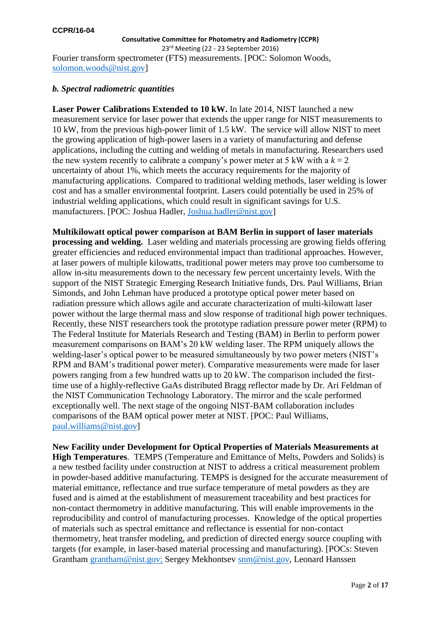23rd Meeting (22 - 23 September 2016) Fourier transform spectrometer (FTS) measurements. [POC: Solomon Woods, [solomon.woods@nist.gov\]](mailto:solomon.woods@nist.gov)

### *b. Spectral radiometric quantities*

**Laser Power Calibrations Extended to 10 kW.** In late 2014, NIST launched a new measurement service for laser power that extends the upper range for NIST measurements to 10 kW, from the previous high-power limit of 1.5 kW. The service will allow NIST to meet the growing application of high-power lasers in a variety of manufacturing and defense applications, including the cutting and welding of metals in manufacturing. Researchers used the new system recently to calibrate a company's power meter at 5 kW with a  $k = 2$ uncertainty of about 1%, which meets the accuracy requirements for the majority of manufacturing applications. Compared to traditional welding methods, laser welding is lower cost and has a smaller environmental footprint. Lasers could potentially be used in 25% of industrial welding applications, which could result in significant savings for U.S. manufacturers. [POC: Joshua Hadler, [Joshua.hadler@nist.gov\]](mailto:Joshua.hadler@nist.gov)

**Multikilowatt optical power comparison at BAM Berlin in support of laser materials processing and welding.** Laser welding and materials processing are growing fields offering greater efficiencies and reduced environmental impact than traditional approaches. However, at laser powers of multiple kilowatts, traditional power meters may prove too cumbersome to allow in-situ measurements down to the necessary few percent uncertainty levels. With the support of the NIST Strategic Emerging Research Initiative funds, Drs. Paul Williams, Brian Simonds, and John Lehman have produced a prototype optical power meter based on radiation pressure which allows agile and accurate characterization of multi-kilowatt laser power without the large thermal mass and slow response of traditional high power techniques. Recently, these NIST researchers took the prototype radiation pressure power meter (RPM) to The Federal Institute for Materials Research and Testing (BAM) in Berlin to perform power measurement comparisons on BAM's 20 kW welding laser. The RPM uniquely allows the welding-laser's optical power to be measured simultaneously by two power meters (NIST's RPM and BAM's traditional power meter). Comparative measurements were made for laser powers ranging from a few hundred watts up to 20 kW. The comparison included the firsttime use of a highly-reflective GaAs distributed Bragg reflector made by Dr. Ari Feldman of the NIST Communication Technology Laboratory. The mirror and the scale performed exceptionally well. The next stage of the ongoing NIST-BAM collaboration includes comparisons of the BAM optical power meter at NIST. [POC: Paul Williams, [paul.williams@nist.gov\]](mailto:paul.williams@nist.gov)

**New Facility under Development for Optical Properties of Materials Measurements at High Temperatures**. TEMPS (Temperature and Emittance of Melts, Powders and Solids) is a new testbed facility under construction at NIST to address a critical measurement problem in powder-based additive manufacturing. TEMPS is designed for the accurate measurement of material emittance, reflectance and true surface temperature of metal powders as they are fused and is aimed at the establishment of measurement traceability and best practices for non-contact thermometry in additive manufacturing. This will enable improvements in the reproducibility and control of manufacturing processes. Knowledge of the optical properties of materials such as spectral emittance and reflectance is essential for non-contact thermometry, heat transfer modeling, and prediction of directed energy source coupling with targets (for example, in laser-based material processing and manufacturing). [POCs: Steven Grantham [grantham@nist.gov;](mailto:grantham@nist.gov) Sergey Mekhontsev [snm@nist.gov,](mailto:snm@nist.gov) Leonard Hanssen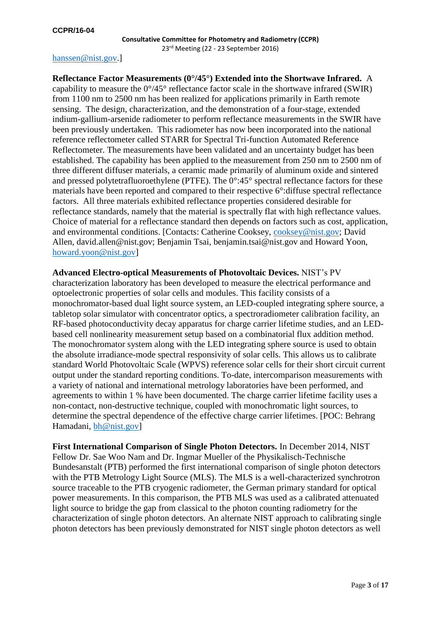### [hanssen@nist.gov.](mailto:hanssen@nist.gov)]

**Reflectance Factor Measurements (0°/45°) Extended into the Shortwave Infrared.** A capability to measure the  $0^{\circ}/45^{\circ}$  reflectance factor scale in the shortwave infrared (SWIR) from 1100 nm to 2500 nm has been realized for applications primarily in Earth remote sensing. The design, characterization, and the demonstration of a four-stage, extended indium-gallium-arsenide radiometer to perform reflectance measurements in the SWIR have been previously undertaken. This radiometer has now been incorporated into the national reference reflectometer called STARR for Spectral Tri-function Automated Reference Reflectometer. The measurements have been validated and an uncertainty budget has been established. The capability has been applied to the measurement from 250 nm to 2500 nm of three different diffuser materials, a ceramic made primarily of aluminum oxide and sintered and pressed polytetrafluoroethylene (PTFE). The 0°:45° spectral reflectance factors for these materials have been reported and compared to their respective 6°:diffuse spectral reflectance factors. All three materials exhibited reflectance properties considered desirable for reflectance standards, namely that the material is spectrally flat with high reflectance values. Choice of material for a reflectance standard then depends on factors such as cost, application, and environmental conditions. [Contacts: Catherine Cooksey, [cooksey@nist.gov;](mailto:cooksey@nist.gov) David Allen, david.allen@nist.gov; Benjamin Tsai, benjamin.tsai@nist.gov and Howard Yoon, [howard.yoon@nist.gov\]](mailto:howard.yoon@nist.gov)

**Advanced Electro-optical Measurements of Photovoltaic Devices.** NIST's PV characterization laboratory has been developed to measure the electrical performance and optoelectronic properties of solar cells and modules. This facility consists of a monochromator-based dual light source system, an LED-coupled integrating sphere source, a tabletop solar simulator with concentrator optics, a spectroradiometer calibration facility, an RF-based photoconductivity decay apparatus for charge carrier lifetime studies, and an LEDbased cell nonlinearity measurement setup based on a combinatorial flux addition method. The monochromator system along with the LED integrating sphere source is used to obtain the absolute irradiance-mode spectral responsivity of solar cells. This allows us to calibrate standard World Photovoltaic Scale (WPVS) reference solar cells for their short circuit current output under the standard reporting conditions. To-date, intercomparison measurements with a variety of national and international metrology laboratories have been performed, and agreements to within 1 % have been documented. The charge carrier lifetime facility uses a non-contact, non-destructive technique, coupled with monochromatic light sources, to determine the spectral dependence of the effective charge carrier lifetimes. [POC: Behrang Hamadani, [bh@nist.gov\]](mailto:bh@nist.gov)

**First International Comparison of Single Photon Detectors.** In December 2014, NIST Fellow Dr. Sae Woo Nam and Dr. Ingmar Mueller of the Physikalisch-Technische Bundesanstalt (PTB) performed the first international comparison of single photon detectors with the PTB Metrology Light Source (MLS). The MLS is a well-characterized synchrotron source traceable to the PTB cryogenic radiometer, the German primary standard for optical power measurements. In this comparison, the PTB MLS was used as a calibrated attenuated light source to bridge the gap from classical to the photon counting radiometry for the characterization of single photon detectors. An alternate NIST approach to calibrating single photon detectors has been previously demonstrated for NIST single photon detectors as well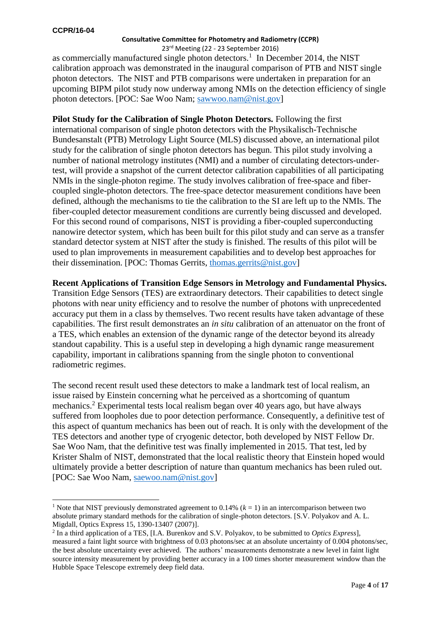-

#### **Consultative Committee for Photometry and Radiometry (CCPR)**

23rd Meeting (22 - 23 September 2016) as commercially manufactured single photon detectors.<sup>1</sup> In December 2014, the NIST calibration approach was demonstrated in the inaugural comparison of PTB and NIST single photon detectors. The NIST and PTB comparisons were undertaken in preparation for an upcoming BIPM pilot study now underway among NMIs on the detection efficiency of single photon detectors. [POC: Sae Woo Nam; [sawwoo.nam@nist.gov\]](mailto:sawwoo.nam@nist.gov)

**Pilot Study for the Calibration of Single Photon Detectors.** Following the first international comparison of single photon detectors with the Physikalisch-Technische Bundesanstalt (PTB) Metrology Light Source (MLS) discussed above, an international pilot study for the calibration of single photon detectors has begun. This pilot study involving a number of national metrology institutes (NMI) and a number of circulating detectors-undertest, will provide a snapshot of the current detector calibration capabilities of all participating NMIs in the single-photon regime. The study involves calibration of free-space and fibercoupled single-photon detectors. The free-space detector measurement conditions have been defined, although the mechanisms to tie the calibration to the SI are left up to the NMIs. The fiber-coupled detector measurement conditions are currently being discussed and developed. For this second round of comparisons, NIST is providing a fiber-coupled superconducting nanowire detector system, which has been built for this pilot study and can serve as a transfer standard detector system at NIST after the study is finished. The results of this pilot will be used to plan improvements in measurement capabilities and to develop best approaches for their dissemination. [POC: Thomas Gerrits, [thomas.gerrits@nist.gov\]](mailto:thomas.gerrits@nist.gov)

**Recent Applications of Transition Edge Sensors in Metrology and Fundamental Physics.**

Transition Edge Sensors (TES) are extraordinary detectors. Their capabilities to detect single photons with near unity efficiency and to resolve the number of photons with unprecedented accuracy put them in a class by themselves. Two recent results have taken advantage of these capabilities. The first result demonstrates an *in situ* calibration of an attenuator on the front of a TES, which enables an extension of the dynamic range of the detector beyond its already standout capability. This is a useful step in developing a high dynamic range measurement capability, important in calibrations spanning from the single photon to conventional radiometric regimes.

The second recent result used these detectors to make a landmark test of local realism, an issue raised by Einstein concerning what he perceived as a shortcoming of quantum mechanics.<sup>2</sup> Experimental tests local realism began over 40 years ago, but have always suffered from loopholes due to poor detection performance. Consequently, a definitive test of this aspect of quantum mechanics has been out of reach. It is only with the development of the TES detectors and another type of cryogenic detector, both developed by NIST Fellow Dr. Sae Woo Nam, that the definitive test was finally implemented in 2015. That test, led by Krister Shalm of NIST, demonstrated that the local realistic theory that Einstein hoped would ultimately provide a better description of nature than quantum mechanics has been ruled out. [POC: Sae Woo Nam, [saewoo.nam@nist.gov\]](mailto:saewoo.nam@nist.gov)

<sup>&</sup>lt;sup>1</sup> Note that NIST previously demonstrated agreement to 0.14%  $(k = 1)$  in an intercomparison between two absolute primary standard methods for the calibration of single-photon detectors. [S.V. Polyakov and A. L. Migdall, Optics Express 15, 1390-13407 (2007)].

<sup>2</sup> In a third application of a TES, [I.A. Burenkov and S.V. Polyakov, to be submitted to *Optics Express*], measured a faint light source with brightness of 0.03 photons/sec at an absolute uncertainty of 0.004 photons/sec, the best absolute uncertainty ever achieved. The authors' measurements demonstrate a new level in faint light source intensity measurement by providing better accuracy in a 100 times shorter measurement window than the Hubble Space Telescope extremely deep field data.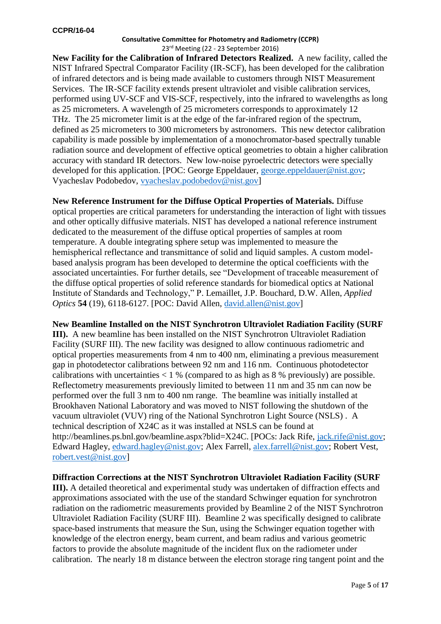**New Facility for the Calibration of Infrared Detectors Realized.** A new facility, called the NIST Infrared Spectral Comparator Facility (IR-SCF), has been developed for the calibration of infrared detectors and is being made available to customers through NIST Measurement Services. The IR-SCF facility extends present ultraviolet and visible calibration services, performed using UV-SCF and VIS-SCF, respectively, into the infrared to wavelengths as long as 25 micrometers. A wavelength of 25 micrometers corresponds to approximately 12 THz. The 25 micrometer limit is at the edge of the far-infrared region of the spectrum, defined as 25 micrometers to 300 micrometers by astronomers. This new detector calibration capability is made possible by implementation of a monochromator-based spectrally tunable radiation source and development of effective optical geometries to obtain a higher calibration accuracy with standard IR detectors. New low-noise pyroelectric detectors were specially developed for this application. [POC: George Eppeldauer, [george.eppeldauer@nist.gov;](mailto:george.eppeldauer@nist.gov) Vyacheslav Podobedov, [vyacheslav.podobedov@nist.gov\]](mailto:vyacheslav.podobedov@nist.gov)

**New Reference Instrument for the Diffuse Optical Properties of Materials.** Diffuse optical properties are critical parameters for understanding the interaction of light with tissues and other optically diffusive materials. NIST has developed a national reference instrument dedicated to the measurement of the diffuse optical properties of samples at room temperature. A double integrating sphere setup was implemented to measure the hemispherical reflectance and transmittance of solid and liquid samples. A custom modelbased analysis program has been developed to determine the optical coefficients with the associated uncertainties. For further details, see "Development of traceable measurement of the diffuse optical properties of solid reference standards for biomedical optics at National Institute of Standards and Technology," P. Lemaillet, J.P. Bouchard, D.W. Allen, *Applied Optics* **54** (19), 6118-6127. [POC: David Allen, [david.allen@nist.gov\]](mailto:david.allen@nist.gov)

### **New Beamline Installed on the NIST Synchrotron Ultraviolet Radiation Facility (SURF**

**III).** A new beamline has been installed on the NIST Synchrotron Ultraviolet Radiation Facility (SURF III). The new facility was designed to allow continuous radiometric and optical properties measurements from 4 nm to 400 nm, eliminating a previous measurement gap in photodetector calibrations between 92 nm and 116 nm. Continuous photodetector calibrations with uncertainties  $< 1$  % (compared to as high as 8 % previously) are possible. Reflectometry measurements previously limited to between 11 nm and 35 nm can now be performed over the full 3 nm to 400 nm range. The beamline was initially installed at Brookhaven National Laboratory and was moved to NIST following the shutdown of the vacuum ultraviolet (VUV) ring of the National Synchrotron Light Source (NSLS) . A technical description of X24C as it was installed at NSLS can be found at http://beamlines.ps.bnl.gov/beamline.aspx?blid=X24C. [POCs: Jack Rife, [jack.rife@nist.gov;](mailto:jack.rife@nist.gov) Edward Hagley, [edward.hagley@nist.gov;](mailto:edward.hagley@nist.gov) Alex Farrell, [alex.farrell@nist.gov;](mailto:alex.farrell@nist.gov) Robert Vest, [robert.vest@nist.gov\]](mailto:robert.vest@nist.gov)

## **Diffraction Corrections at the NIST Synchrotron Ultraviolet Radiation Facility (SURF**

**III).** A detailed theoretical and experimental study was undertaken of diffraction effects and approximations associated with the use of the standard Schwinger equation for synchrotron radiation on the radiometric measurements provided by Beamline 2 of the NIST Synchrotron Ultraviolet Radiation Facility (SURF III). Beamline 2 was specifically designed to calibrate space-based instruments that measure the Sun, using the Schwinger equation together with knowledge of the electron energy, beam current, and beam radius and various geometric factors to provide the absolute magnitude of the incident flux on the radiometer under calibration. The nearly 18 m distance between the electron storage ring tangent point and the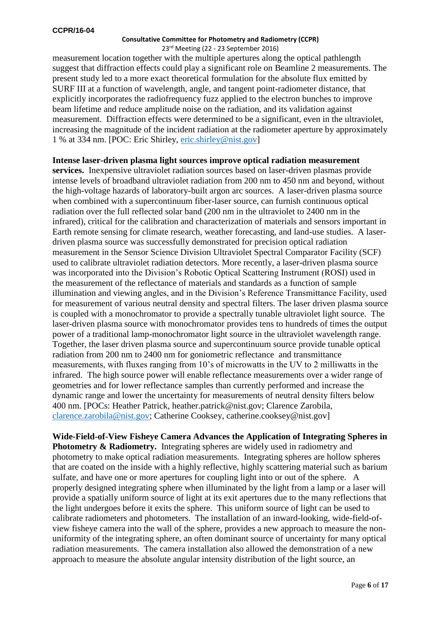#### 23rd Meeting (22 - 23 September 2016)

measurement location together with the multiple apertures along the optical pathlength suggest that diffraction effects could play a significant role on Beamline 2 measurements. The present study led to a more exact theoretical formulation for the absolute flux emitted by SURF III at a function of wavelength, angle, and tangent point-radiometer distance, that explicitly incorporates the radiofrequency fuzz applied to the electron bunches to improve beam lifetime and reduce amplitude noise on the radiation, and its validation against measurement. Diffraction effects were determined to be a significant, even in the ultraviolet, increasing the magnitude of the incident radiation at the radiometer aperture by approximately 1 % at 334 nm. [POC: Eric Shirley, [eric.shirley@nist.gov\]](mailto:eric.shirley@nist.gov)

## **Intense laser-driven plasma light sources improve optical radiation measurement**

**services.** Inexpensive ultraviolet radiation sources based on laser-driven plasmas provide intense levels of broadband ultraviolet radiation from 200 nm to 450 nm and beyond, without the high-voltage hazards of laboratory-built argon arc sources. A laser-driven plasma source when combined with a supercontinuum fiber-laser source, can furnish continuous optical radiation over the full reflected solar band (200 nm in the ultraviolet to 2400 nm in the infrared), critical for the calibration and characterization of materials and sensors important in Earth remote sensing for climate research, weather forecasting, and land-use studies. A laserdriven plasma source was successfully demonstrated for precision optical radiation measurement in the Sensor Science Division Ultraviolet Spectral Comparator Facility (SCF) used to calibrate ultraviolet radiation detectors. More recently, a laser-driven plasma source was incorporated into the Division's Robotic Optical Scattering Instrument (ROSI) used in the measurement of the reflectance of materials and standards as a function of sample illumination and viewing angles, and in the Division's Reference Transmittance Facility, used for measurement of various neutral density and spectral filters. The laser driven plasma source is coupled with a monochromator to provide a spectrally tunable ultraviolet light source. The laser-driven plasma source with monochromator provides tens to hundreds of times the output power of a traditional lamp-monochromator light source in the ultraviolet wavelength range. Together, the laser driven plasma source and supercontinuum source provide tunable optical radiation from 200 nm to 2400 nm for goniometric reflectance and transmittance measurements, with fluxes ranging from 10's of microwatts in the UV to 2 milliwatts in the infrared. The high source power will enable reflectance measurements over a wider range of geometries and for lower reflectance samples than currently performed and increase the dynamic range and lower the uncertainty for measurements of neutral density filters below 400 nm. [POCs: Heather Patrick, heather.patrick@nist.gov; Clarence Zarobila, [clarence.zarobila@nist.gov;](mailto:clarence.zarobila@nist.gov) Catherine Cooksey, catherine.cooksey@nist.gov]

**Wide-Field-of-View Fisheye Camera Advances the Application of Integrating Spheres in Photometry & Radiometry.** Integrating spheres are widely used in radiometry and photometry to make optical radiation measurements. Integrating spheres are hollow spheres that are coated on the inside with a highly reflective, highly scattering material such as barium sulfate, and have one or more apertures for coupling light into or out of the sphere. A properly designed integrating sphere when illuminated by the light from a lamp or a laser will provide a spatially uniform source of light at its exit apertures due to the many reflections that the light undergoes before it exits the sphere. This uniform source of light can be used to calibrate radiometers and photometers. The installation of an inward-looking, wide-field-ofview fisheye camera into the wall of the sphere, provides a new approach to measure the nonuniformity of the integrating sphere, an often dominant source of uncertainty for many optical radiation measurements. The camera installation also allowed the demonstration of a new approach to measure the absolute angular intensity distribution of the light source, an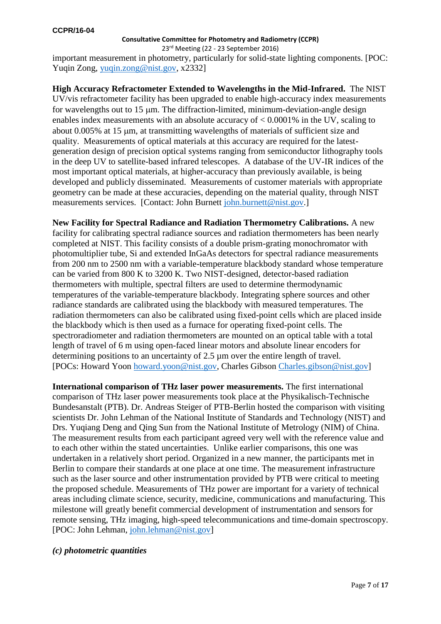23rd Meeting (22 - 23 September 2016)

important measurement in photometry, particularly for solid-state lighting components. [POC: Yuqin Zong, [yuqin.zong@nist.gov,](mailto:yuqin.zong@nist.gov) x2332]

**High Accuracy Refractometer Extended to Wavelengths in the Mid-Infrared.** The NIST UV/vis refractometer facility has been upgraded to enable high-accuracy index measurements for wavelengths out to  $15 \mu m$ . The diffraction-limited, minimum-deviation-angle design enables index measurements with an absolute accuracy of < 0.0001% in the UV, scaling to about 0.005% at 15 um, at transmitting wavelengths of materials of sufficient size and quality. Measurements of optical materials at this accuracy are required for the latestgeneration design of precision optical systems ranging from semiconductor lithography tools in the deep UV to satellite-based infrared telescopes. A database of the UV-IR indices of the most important optical materials, at higher-accuracy than previously available, is being developed and publicly disseminated. Measurements of customer materials with appropriate geometry can be made at these accuracies, depending on the material quality, through NIST measurements services. [Contact: John Burnett [john.burnett@nist.gov.](mailto:john.burnett@nist.gov)]

**New Facility for Spectral Radiance and Radiation Thermometry Calibrations.** A new facility for calibrating spectral radiance sources and radiation thermometers has been nearly completed at NIST. This facility consists of a double prism-grating monochromator with photomultiplier tube, Si and extended InGaAs detectors for spectral radiance measurements from 200 nm to 2500 nm with a variable-temperature blackbody standard whose temperature can be varied from 800 K to 3200 K. Two NIST-designed, detector-based radiation thermometers with multiple, spectral filters are used to determine thermodynamic temperatures of the variable-temperature blackbody. Integrating sphere sources and other radiance standards are calibrated using the blackbody with measured temperatures. The radiation thermometers can also be calibrated using fixed-point cells which are placed inside the blackbody which is then used as a furnace for operating fixed-point cells. The spectroradiometer and radiation thermometers are mounted on an optical table with a total length of travel of 6 m using open-faced linear motors and absolute linear encoders for determining positions to an uncertainty of 2.5 µm over the entire length of travel. [POCs: Howard Yoon [howard.yoon@nist.gov,](mailto:howard.yoon@nist.gov) Charles Gibson [Charles.gibson@nist.gov\]](mailto:Charles.gibson@nist.gov)

**International comparison of THz laser power measurements.** The first international comparison of THz laser power measurements took place at the Physikalisch-Technische Bundesanstalt (PTB). Dr. Andreas Steiger of PTB-Berlin hosted the comparison with visiting scientists Dr. John Lehman of the National Institute of Standards and Technology (NIST) and Drs. Yuqiang Deng and Qing Sun from the National Institute of Metrology (NIM) of China. The measurement results from each participant agreed very well with the reference value and to each other within the stated uncertainties. Unlike earlier comparisons, this one was undertaken in a relatively short period. Organized in a new manner, the participants met in Berlin to compare their standards at one place at one time. The measurement infrastructure such as the laser source and other instrumentation provided by PTB were critical to meeting the proposed schedule. Measurements of THz power are important for a variety of technical areas including climate science, security, medicine, communications and manufacturing. This milestone will greatly benefit commercial development of instrumentation and sensors for remote sensing, THz imaging, high-speed telecommunications and time-domain spectroscopy. [POC: John Lehman, [john.lehman@nist.gov\]](mailto:john.lehman@nist.gov)

### *(c) photometric quantities*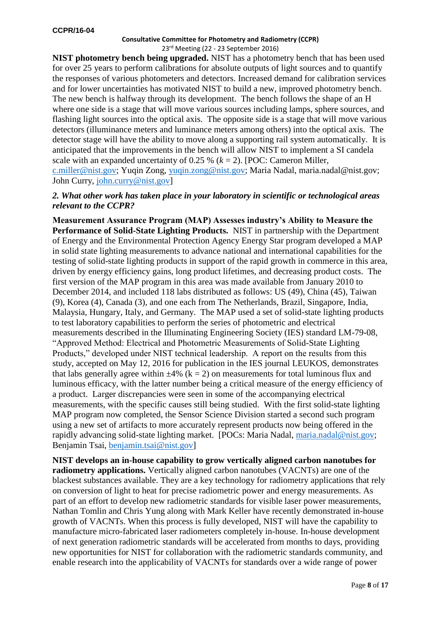**NIST photometry bench being upgraded.** NIST has a photometry bench that has been used for over 25 years to perform calibrations for absolute outputs of light sources and to quantify the responses of various photometers and detectors. Increased demand for calibration services and for lower uncertainties has motivated NIST to build a new, improved photometry bench. The new bench is halfway through its development. The bench follows the shape of an H where one side is a stage that will move various sources including lamps, sphere sources, and flashing light sources into the optical axis. The opposite side is a stage that will move various detectors (illuminance meters and luminance meters among others) into the optical axis. The detector stage will have the ability to move along a supporting rail system automatically. It is anticipated that the improvements in the bench will allow NIST to implement a SI candela scale with an expanded uncertainty of 0.25 % (*k* = 2). [POC: Cameron Miller, [c.miller@nist.gov;](mailto:c.miller@nist.gov) Yuqin Zong, [yuqin.zong@nist.gov;](mailto:yuqin.zong@nist.gov) Maria Nadal, maria.nadal@nist.gov; John Curry, [john.curry@nist.gov\]](mailto:john.curry@nist.gov)

### *2. What other work has taken place in your laboratory in scientific or technological areas relevant to the CCPR?*

**Measurement Assurance Program (MAP) Assesses industry's Ability to Measure the Performance of Solid-State Lighting Products.** NIST in partnership with the Department of Energy and the Environmental Protection Agency Energy Star program developed a MAP in solid state lighting measurements to advance national and international capabilities for the testing of solid-state lighting products in support of the rapid growth in commerce in this area, driven by energy efficiency gains, long product lifetimes, and decreasing product costs. The first version of the MAP program in this area was made available from January 2010 to December 2014, and included 118 labs distributed as follows: US (49), China (45), Taiwan (9), Korea (4), Canada (3), and one each from The Netherlands, Brazil, Singapore, India, Malaysia, Hungary, Italy, and Germany. The MAP used a set of solid-state lighting products to test laboratory capabilities to perform the series of photometric and electrical measurements described in the Illuminating Engineering Society (IES) standard LM-79-08, "Approved Method: Electrical and Photometric Measurements of Solid-State Lighting Products," developed under NIST technical leadership. A report on the results from this study, accepted on May 12, 2016 for publication in the IES journal LEUKOS, demonstrates that labs generally agree within  $\pm 4\%$  (k = 2) on measurements for total luminous flux and luminous efficacy, with the latter number being a critical measure of the energy efficiency of a product. Larger discrepancies were seen in some of the accompanying electrical measurements, with the specific causes still being studied. With the first solid-state lighting MAP program now completed, the Sensor Science Division started a second such program using a new set of artifacts to more accurately represent products now being offered in the rapidly advancing solid-state lighting market. [POCs: Maria Nadal, [maria.nadal@nist.gov;](mailto:maria.nadal@nist.gov) Benjamin Tsai, [benjamin.tsai@nist.gov\]](mailto:benjamin.tsai@nist.gov)

**NIST develops an in-house capability to grow vertically aligned carbon nanotubes for radiometry applications.** Vertically aligned carbon nanotubes (VACNTs) are one of the blackest substances available. They are a key technology for radiometry applications that rely on conversion of light to heat for precise radiometric power and energy measurements. As part of an effort to develop new radiometric standards for visible laser power measurements, Nathan Tomlin and Chris Yung along with Mark Keller have recently demonstrated in-house growth of VACNTs. When this process is fully developed, NIST will have the capability to manufacture micro-fabricated laser radiometers completely in-house. In-house development of next generation radiometric standards will be accelerated from months to days, providing new opportunities for NIST for collaboration with the radiometric standards community, and enable research into the applicability of VACNTs for standards over a wide range of power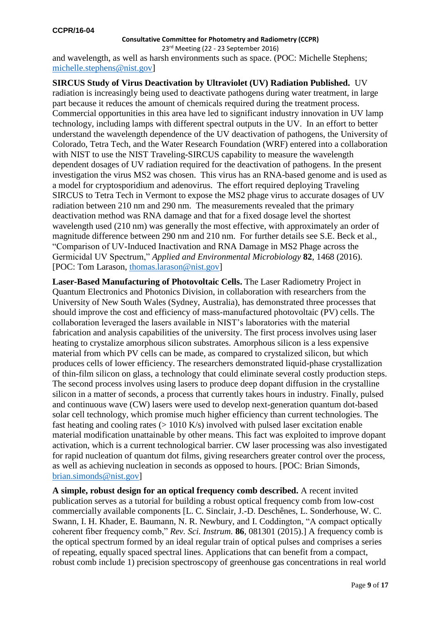23rd Meeting (22 - 23 September 2016) and wavelength, as well as harsh environments such as space. (POC: Michelle Stephens; [michelle.stephens@nist.gov\]](mailto:michelle.stephens@nist.gov)

**SIRCUS Study of Virus Deactivation by Ultraviolet (UV) Radiation Published.** UV radiation is increasingly being used to deactivate pathogens during water treatment, in large part because it reduces the amount of chemicals required during the treatment process. Commercial opportunities in this area have led to significant industry innovation in UV lamp technology, including lamps with different spectral outputs in the UV. In an effort to better understand the wavelength dependence of the UV deactivation of pathogens, the University of Colorado, Tetra Tech, and the Water Research Foundation (WRF) entered into a collaboration with NIST to use the NIST Traveling-SIRCUS capability to measure the wavelength dependent dosages of UV radiation required for the deactivation of pathogens. In the present investigation the virus MS2 was chosen. This virus has an RNA-based genome and is used as a model for cryptosporidium and adenovirus. The effort required deploying Traveling SIRCUS to Tetra Tech in Vermont to expose the MS2 phage virus to accurate dosages of UV radiation between 210 nm and 290 nm. The measurements revealed that the primary deactivation method was RNA damage and that for a fixed dosage level the shortest wavelength used (210 nm) was generally the most effective, with approximately an order of magnitude difference between 290 nm and 210 nm. For further details see S.E. Beck et al., "Comparison of UV-Induced Inactivation and RNA Damage in MS2 Phage across the Germicidal UV Spectrum," *Applied and Environmental Microbiology* **82**, 1468 (2016). [POC: Tom Larason, [thomas.larason@nist.gov\]](mailto:thomas.larason@nist.gov)

**Laser-Based Manufacturing of Photovoltaic Cells.** The Laser Radiometry Project in Quantum Electronics and Photonics Division, in collaboration with researchers from the University of New South Wales (Sydney, Australia), has demonstrated three processes that should improve the cost and efficiency of mass-manufactured photovoltaic (PV) cells. The collaboration leveraged the lasers available in NIST's laboratories with the material fabrication and analysis capabilities of the university. The first process involves using laser heating to crystalize amorphous silicon substrates. Amorphous silicon is a less expensive material from which PV cells can be made, as compared to crystalized silicon, but which produces cells of lower efficiency. The researchers demonstrated liquid-phase crystallization of thin-film silicon on glass, a technology that could eliminate several costly production steps. The second process involves using lasers to produce deep dopant diffusion in the crystalline silicon in a matter of seconds, a process that currently takes hours in industry. Finally, pulsed and continuous wave (CW) lasers were used to develop next-generation quantum dot-based solar cell technology, which promise much higher efficiency than current technologies. The fast heating and cooling rates  $(> 1010 \text{ K/s})$  involved with pulsed laser excitation enable material modification unattainable by other means. This fact was exploited to improve dopant activation, which is a current technological barrier. CW laser processing was also investigated for rapid nucleation of quantum dot films, giving researchers greater control over the process, as well as achieving nucleation in seconds as opposed to hours. [POC: Brian Simonds, [brian.simonds@nist.gov\]](mailto:brian.simonds@nist.gov)

**A simple, robust design for an optical frequency comb described.** A recent invited publication serves as a tutorial for building a robust optical frequency comb from low-cost commercially available components [L. C. Sinclair, J.-D. Deschênes, L. Sonderhouse, W. C. Swann, I. H. Khader, E. Baumann, N. R. Newbury, and I. Coddington, "A compact optically coherent fiber frequency comb," *Rev. Sci. Instrum.* **86**, 081301 (2015).] A frequency comb is the optical spectrum formed by an ideal regular train of optical pulses and comprises a series of repeating, equally spaced spectral lines. Applications that can benefit from a compact, robust comb include 1) precision spectroscopy of greenhouse gas concentrations in real world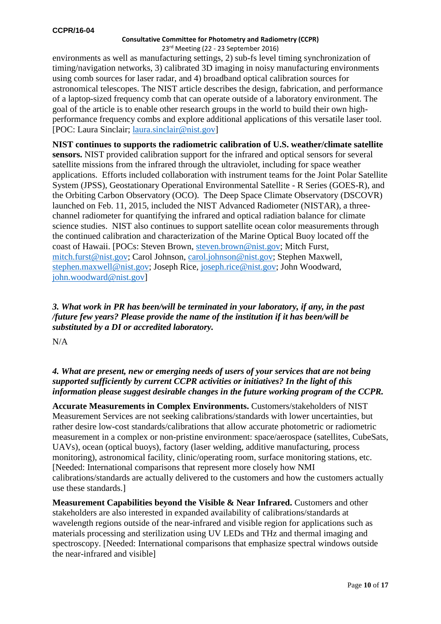## 23rd Meeting (22 - 23 September 2016)

environments as well as manufacturing settings, 2) sub-fs level timing synchronization of timing/navigation networks, 3) calibrated 3D imaging in noisy manufacturing environments using comb sources for laser radar, and 4) broadband optical calibration sources for astronomical telescopes. The NIST article describes the design, fabrication, and performance of a laptop-sized frequency comb that can operate outside of a laboratory environment. The goal of the article is to enable other research groups in the world to build their own highperformance frequency combs and explore additional applications of this versatile laser tool. [POC: Laura Sinclair; [laura.sinclair@nist.gov\]](mailto:laura.sinclair@nist.gov)

**NIST continues to supports the radiometric calibration of U.S. weather/climate satellite sensors.** NIST provided calibration support for the infrared and optical sensors for several satellite missions from the infrared through the ultraviolet, including for space weather applications. Efforts included collaboration with instrument teams for the Joint Polar Satellite System (JPSS), Geostationary Operational Environmental Satellite - R Series (GOES-R), and the Orbiting Carbon Observatory (OCO). The Deep Space Climate Observatory (DSCOVR) launched on Feb. 11, 2015, included the NIST Advanced Radiometer (NISTAR), a threechannel radiometer for quantifying the infrared and optical radiation balance for climate science studies. NIST also continues to support satellite ocean color measurements through the continued calibration and characterization of the Marine Optical Buoy located off the coast of Hawaii. [POCs: Steven Brown, [steven.brown@nist.gov;](mailto:steven.brown@nist.gov) Mitch Furst, [mitch.furst@nist.gov;](mailto:mitch.furst@nist.gov) Carol Johnson, [carol.johnson@nist.gov;](mailto:carol.johnson@nist.gov) Stephen Maxwell, [stephen.maxwell@nist.gov;](mailto:stephen.maxwell@nist.gov) Joseph Rice, [joseph.rice@nist.gov;](mailto:joseph.rice@nist.gov) John Woodward, [john.woodward@nist.gov\]](mailto:john.woodward@nist.gov)

*3. What work in PR has been/will be terminated in your laboratory, if any, in the past /future few years? Please provide the name of the institution if it has been/will be substituted by a DI or accredited laboratory.*

N/A

# *4. What are present, new or emerging needs of users of your services that are not being supported sufficiently by current CCPR activities or initiatives? In the light of this information please suggest desirable changes in the future working program of the CCPR.*

**Accurate Measurements in Complex Environments.** Customers/stakeholders of NIST Measurement Services are not seeking calibrations/standards with lower uncertainties, but rather desire low-cost standards/calibrations that allow accurate photometric or radiometric measurement in a complex or non-pristine environment: space/aerospace (satellites, CubeSats, UAVs), ocean (optical buoys), factory (laser welding, additive manufacturing, process monitoring), astronomical facility, clinic/operating room, surface monitoring stations, etc. [Needed: International comparisons that represent more closely how NMI calibrations/standards are actually delivered to the customers and how the customers actually use these standards.]

**Measurement Capabilities beyond the Visible & Near Infrared.** Customers and other stakeholders are also interested in expanded availability of calibrations/standards at wavelength regions outside of the near-infrared and visible region for applications such as materials processing and sterilization using UV LEDs and THz and thermal imaging and spectroscopy. [Needed: International comparisons that emphasize spectral windows outside the near-infrared and visible]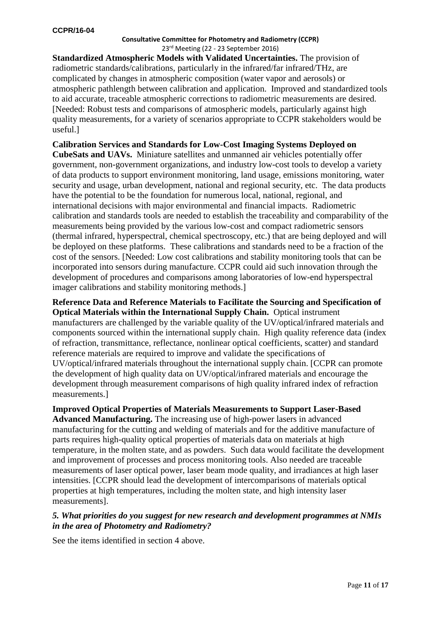**Standardized Atmospheric Models with Validated Uncertainties.** The provision of radiometric standards/calibrations, particularly in the infrared/far infrared/THz, are complicated by changes in atmospheric composition (water vapor and aerosols) or atmospheric pathlength between calibration and application. Improved and standardized tools to aid accurate, traceable atmospheric corrections to radiometric measurements are desired. [Needed: Robust tests and comparisons of atmospheric models, particularly against high quality measurements, for a variety of scenarios appropriate to CCPR stakeholders would be useful.]

**Calibration Services and Standards for Low-Cost Imaging Systems Deployed on CubeSats and UAVs.** Miniature satellites and unmanned air vehicles potentially offer government, non-government organizations, and industry low-cost tools to develop a variety of data products to support environment monitoring, land usage, emissions monitoring, water security and usage, urban development, national and regional security, etc. The data products have the potential to be the foundation for numerous local, national, regional, and international decisions with major environmental and financial impacts. Radiometric calibration and standards tools are needed to establish the traceability and comparability of the measurements being provided by the various low-cost and compact radiometric sensors (thermal infrared, hyperspectral, chemical spectroscopy, etc.) that are being deployed and will be deployed on these platforms. These calibrations and standards need to be a fraction of the cost of the sensors. [Needed: Low cost calibrations and stability monitoring tools that can be incorporated into sensors during manufacture. CCPR could aid such innovation through the development of procedures and comparisons among laboratories of low-end hyperspectral imager calibrations and stability monitoring methods.]

**Reference Data and Reference Materials to Facilitate the Sourcing and Specification of Optical Materials within the International Supply Chain.** Optical instrument manufacturers are challenged by the variable quality of the UV/optical/infrared materials and components sourced within the international supply chain. High quality reference data (index of refraction, transmittance, reflectance, nonlinear optical coefficients, scatter) and standard reference materials are required to improve and validate the specifications of UV/optical/infrared materials throughout the international supply chain. [CCPR can promote the development of high quality data on UV/optical/infrared materials and encourage the development through measurement comparisons of high quality infrared index of refraction measurements.]

**Improved Optical Properties of Materials Measurements to Support Laser-Based Advanced Manufacturing.** The increasing use of high-power lasers in advanced manufacturing for the cutting and welding of materials and for the additive manufacture of parts requires high-quality optical properties of materials data on materials at high temperature, in the molten state, and as powders. Such data would facilitate the development and improvement of processes and process monitoring tools. Also needed are traceable measurements of laser optical power, laser beam mode quality, and irradiances at high laser intensities. [CCPR should lead the development of intercomparisons of materials optical properties at high temperatures, including the molten state, and high intensity laser measurements].

## *5. What priorities do you suggest for new research and development programmes at NMIs in the area of Photometry and Radiometry?*

See the items identified in section 4 above.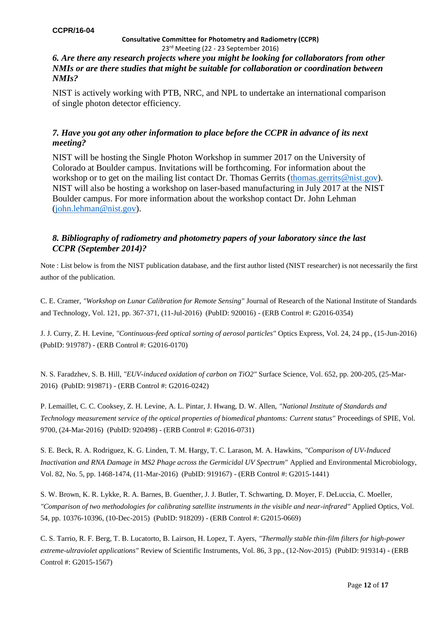## *6. Are there any research projects where you might be looking for collaborators from other NMIs or are there studies that might be suitable for collaboration or coordination between NMIs?*

NIST is actively working with PTB, NRC, and NPL to undertake an international comparison of single photon detector efficiency.

# *7. Have you got any other information to place before the CCPR in advance of its next meeting?*

NIST will be hosting the Single Photon Workshop in summer 2017 on the University of Colorado at Boulder campus. Invitations will be forthcoming. For information about the workshop or to get on the mailing list contact Dr. Thomas Gerrits (thomas gerrits@nist.gov). NIST will also be hosting a workshop on laser-based manufacturing in July 2017 at the NIST Boulder campus. For more information about the workshop contact Dr. John Lehman [\(john.lehman@nist.gov\)](mailto:john.lehman@nist.gov).

## *8. Bibliography of radiometry and photometry papers of your laboratory since the last CCPR (September 2014)?*

Note : List below is from the NIST publication database, and the first author listed (NIST researcher) is not necessarily the first author of the publication.

C. E. Cramer, *"Workshop on Lunar Calibration for Remote Sensing"* Journal of Research of the National Institute of Standards and Technology, Vol. 121, pp. 367-371, (11-Jul-2016) (PubID: 920016) - (ERB Control #: G2016-0354)

 J. J. Curry, Z. H. Levine, *"Continuous-feed optical sorting of aerosol particles"* Optics Express, Vol. 24, 24 pp., (15-Jun-2016) (PubID: 919787) - (ERB Control #: G2016-0170)

 N. S. Faradzhev, S. B. Hill, *"EUV-induced oxidation of carbon on TiO2"* Surface Science, Vol. 652, pp. 200-205, (25-Mar-2016) (PubID: 919871) - (ERB Control #: G2016-0242)

P. Lemaillet, C. C. Cooksey, Z. H. Levine, A. L. Pintar, J. Hwang, D. W. Allen, *"National Institute of Standards and Technology measurement service of the optical properties of biomedical phantoms: Current status"* Proceedings of SPIE, Vol. 9700, (24-Mar-2016) (PubID: 920498) - (ERB Control #: G2016-0731)

 S. E. Beck, R. A. Rodriguez, K. G. Linden, T. M. Hargy, T. C. Larason, M. A. Hawkins, *"Comparison of UV-Induced Inactivation and RNA Damage in MS2 Phage across the Germicidal UV Spectrum"* Applied and Environmental Microbiology, Vol. 82, No. 5, pp. 1468-1474, (11-Mar-2016) (PubID: 919167) - (ERB Control #: G2015-1441)

 S. W. Brown, K. R. Lykke, R. A. Barnes, B. Guenther, J. J. Butler, T. Schwarting, D. Moyer, F. DeLuccia, C. Moeller, *"Comparison of two methodologies for calibrating satellite instruments in the visible and near-infrared"* Applied Optics, Vol. 54, pp. 10376-10396, (10-Dec-2015) (PubID: 918209) - (ERB Control #: G2015-0669)

 C. S. Tarrio, R. F. Berg, T. B. Lucatorto, B. Lairson, H. Lopez, T. Ayers, *"Thermally stable thin-film filters for high-power extreme-ultraviolet applications"* Review of Scientific Instruments, Vol. 86, 3 pp., (12-Nov-2015) (PubID: 919314) - (ERB Control #: G2015-1567)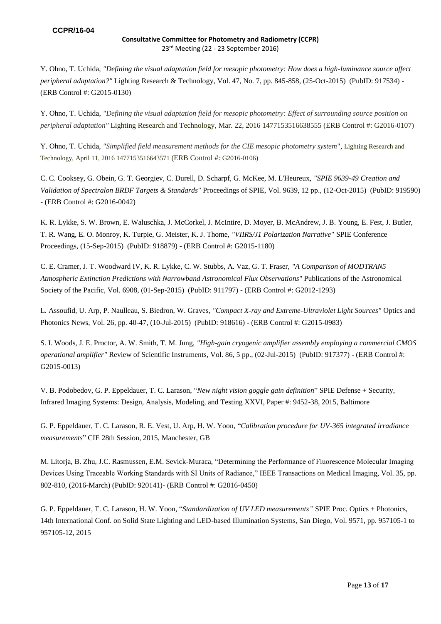Y. Ohno, T. Uchida, *"Defining the visual adaptation field for mesopic photometry: How does a high-luminance source affect peripheral adaptation?"* Lighting Research & Technology, Vol. 47, No. 7, pp. 845-858, (25-Oct-2015) (PubID: 917534) - (ERB Control #: G2015-0130)

Y. Ohno, T. Uchida, *"Defining the visual adaptation field for mesopic photometry: Effect of surrounding source position on peripheral adaptation"* Lighting Research and Technology, Mar. 22, 2016 1477153516638555 (ERB Control #: G2016-0107)

Y. Ohno, T. Uchida, *"Simplified field measurement methods for the CIE mesopic photometry system*", Lighting Research and Technology, April 11, 2016 1477153516643571 (ERB Control #: G2016-0106)

C. C. Cooksey, G. Obein, G. T. Georgiev, C. Durell, D. Scharpf, G. McKee, M. L'Heureux, *"SPIE 9639-49 Creation and Validation of Spectralon BRDF Targets & Standards"* Proceedings of SPIE, Vol. 9639, 12 pp., (12-Oct-2015) (PubID: 919590) - (ERB Control #: G2016-0042)

K. R. Lykke, S. W. Brown, E. Waluschka, J. McCorkel, J. McIntire, D. Moyer, B. McAndrew, J. B. Young, E. Fest, J. Butler, T. R. Wang, E. O. Monroy, K. Turpie, G. Meister, K. J. Thome, *"VIIRS/J1 Polarization Narrative"* SPIE Conference Proceedings, (15-Sep-2015) (PubID: 918879) - (ERB Control #: G2015-1180)

 C. E. Cramer, J. T. Woodward IV, K. R. Lykke, C. W. Stubbs, A. Vaz, G. T. Fraser, *"A Comparison of MODTRAN5 Atmospheric Extinction Predictions with Narrowband Astronomical Flux Observations"* Publications of the Astronomical Society of the Pacific, Vol. 6908, (01-Sep-2015) (PubID: 911797) - (ERB Control #: G2012-1293)

 L. Assoufid, U. Arp, P. Naulleau, S. Biedron, W. Graves, *"Compact X-ray and Extreme-Ultraviolet Light Sources"* Optics and Photonics News, Vol. 26, pp. 40-47, (10-Jul-2015) (PubID: 918616) - (ERB Control #: G2015-0983)

 S. I. Woods, J. E. Proctor, A. W. Smith, T. M. Jung, *"High-gain cryogenic amplifier assembly employing a commercial CMOS operational amplifier"* Review of Scientific Instruments, Vol. 86, 5 pp., (02-Jul-2015) (PubID: 917377) - (ERB Control #: G2015-0013)

V. B. Podobedov, G. P. Eppeldauer, T. C. Larason, "*New night vision goggle gain definition*" SPIE Defense + Security, Infrared Imaging Systems: Design, Analysis, Modeling, and Testing XXVI, Paper #: 9452-38, 2015, Baltimore

G. P. Eppeldauer, T. C. Larason, R. E. Vest, U. Arp, H. W. Yoon, "*Calibration procedure for UV-365 integrated irradiance measurements*" CIE 28th Session, 2015, Manchester, GB

M. Litorja, B. Zhu, J.C. Rasmussen, E.M. Sevick-Muraca, "Determining the Performance of Fluorescence Molecular Imaging Devices Using Traceable Working Standards with SI Units of Radiance," IEEE Transactions on Medical Imaging, Vol. 35, pp. 802-810, (2016-March) (PubID: 920141)- (ERB Control #: G2016-0450)

G. P. Eppeldauer, T. C. Larason, H. W. Yoon, "*Standardization of UV LED measurements"* SPIE Proc. Optics + Photonics, 14th International Conf. on Solid State Lighting and LED-based Illumination Systems, San Diego, Vol. 9571, pp. 957105-1 to 957105-12, 2015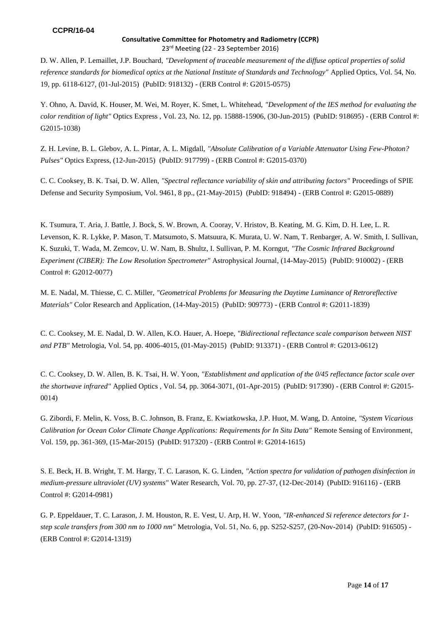D. W. Allen, P. Lemaillet, J.P. Bouchard, *"Development of traceable measurement of the diffuse optical properties of solid reference standards for biomedical optics at the National Institute of Standards and Technology"* Applied Optics, Vol. 54, No. 19, pp. 6118-6127, (01-Jul-2015) (PubID: 918132) - (ERB Control #: G2015-0575)

 Y. Ohno, A. David, K. Houser, M. Wei, M. Royer, K. Smet, L. Whitehead, *"Development of the IES method for evaluating the color rendition of light"* Optics Express , Vol. 23, No. 12, pp. 15888-15906, (30-Jun-2015) (PubID: 918695) - (ERB Control #: G2015-1038)

 Z. H. Levine, B. L. Glebov, A. L. Pintar, A. L. Migdall, *"Absolute Calibration of a Variable Attenuator Using Few-Photon? Pulses"* Optics Express, (12-Jun-2015) (PubID: 917799) - (ERB Control #: G2015-0370)

C. C. Cooksey, B. K. Tsai, D. W. Allen, *"Spectral reflectance variability of skin and attributing factors"* Proceedings of SPIE Defense and Security Symposium, Vol. 9461, 8 pp., (21-May-2015) (PubID: 918494) - (ERB Control #: G2015-0889)

 K. Tsumura, T. Aria, J. Battle, J. Bock, S. W. Brown, A. Cooray, V. Hristov, B. Keating, M. G. Kim, D. H. Lee, L. R. Levenson, K. R. Lykke, P. Mason, T. Matsumoto, S. Matsuura, K. Murata, U. W. Nam, T. Renbarger, A. W. Smith, I. Sullivan, K. Suzuki, T. Wada, M. Zemcov, U. W. Nam, B. Shultz, I. Sullivan, P. M. Korngut, *"The Cosmic Infrared Background Experiment (CIBER): The Low Resolution Spectrometer"* Astrophysical Journal, (14-May-2015) (PubID: 910002) - (ERB Control #: G2012-0077)

 M. E. Nadal, M. Thiesse, C. C. Miller, *"Geometrical Problems for Measuring the Daytime Luminance of Retroreflective Materials"* Color Research and Application, (14-May-2015) (PubID: 909773) - (ERB Control #: G2011-1839)

 C. C. Cooksey, M. E. Nadal, D. W. Allen, K.O. Hauer, A. Hoepe, *"Bidirectional reflectance scale comparison between NIST and PTB"* Metrologia, Vol. 54, pp. 4006-4015, (01-May-2015) (PubID: 913371) - (ERB Control #: G2013-0612)

 C. C. Cooksey, D. W. Allen, B. K. Tsai, H. W. Yoon, *"Establishment and application of the 0/45 reflectance factor scale over the shortwave infrared"* Applied Optics , Vol. 54, pp. 3064-3071, (01-Apr-2015) (PubID: 917390) - (ERB Control #: G2015- 0014)

 G. Zibordi, F. Melin, K. Voss, B. C. Johnson, B. Franz, E. Kwiatkowska, J.P. Huot, M. Wang, D. Antoine, *"System Vicarious Calibration for Ocean Color Climate Change Applications: Requirements for In Situ Data" Remote Sensing of Environment,* Vol. 159, pp. 361-369, (15-Mar-2015) (PubID: 917320) - (ERB Control #: G2014-1615)

 S. E. Beck, H. B. Wright, T. M. Hargy, T. C. Larason, K. G. Linden, *"Action spectra for validation of pathogen disinfection in medium-pressure ultraviolet (UV) systems"* Water Research, Vol. 70, pp. 27-37, (12-Dec-2014) (PubID: 916116) - (ERB Control #: G2014-0981)

G. P. Eppeldauer, T. C. Larason, J. M. Houston, R. E. Vest, U. Arp, H. W. Yoon, *"IR-enhanced Si reference detectors for 1 step scale transfers from 300 nm to 1000 nm"* Metrologia, Vol. 51, No. 6, pp. S252-S257, (20-Nov-2014) (PubID: 916505) - (ERB Control #: G2014-1319)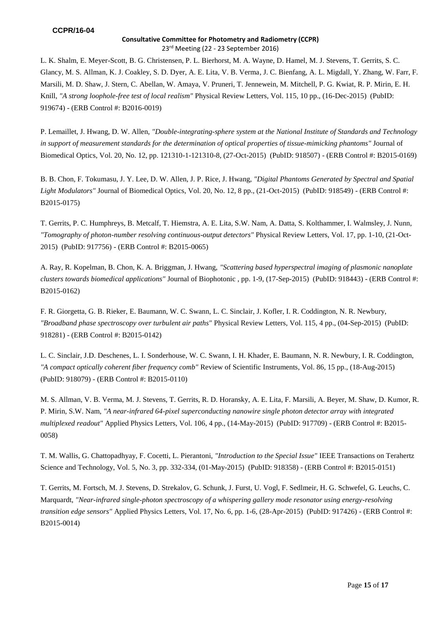L. K. Shalm, E. Meyer-Scott, B. G. Christensen, P. L. Bierhorst, M. A. Wayne, D. Hamel, M. J. Stevens, T. Gerrits, S. C. Glancy, M. S. Allman, K. J. Coakley, S. D. Dyer, A. E. Lita, V. B. Verma, J. C. Bienfang, A. L. Migdall, Y. Zhang, W. Farr, F. Marsili, M. D. Shaw, J. Stern, C. Abellan, W. Amaya, V. Pruneri, T. Jennewein, M. Mitchell, P. G. Kwiat, R. P. Mirin, E. H. Knill, *"A strong loophole-free test of local realism"* Physical Review Letters, Vol. 115, 10 pp., (16-Dec-2015) (PubID: 919674) - (ERB Control #: B2016-0019)

 P. Lemaillet, J. Hwang, D. W. Allen, *"Double-integrating-sphere system at the National Institute of Standards and Technology in support of measurement standards for the determination of optical properties of tissue-mimicking phantoms"* Journal of Biomedical Optics, Vol. 20, No. 12, pp. 121310-1-121310-8, (27-Oct-2015) (PubID: 918507) - (ERB Control #: B2015-0169)

 B. B. Chon, F. Tokumasu, J. Y. Lee, D. W. Allen, J. P. Rice, J. Hwang, *"Digital Phantoms Generated by Spectral and Spatial Light Modulators"* Journal of Biomedical Optics, Vol. 20, No. 12, 8 pp., (21-Oct-2015) (PubID: 918549) - (ERB Control #: B2015-0175)

 T. Gerrits, P. C. Humphreys, B. Metcalf, T. Hiemstra, A. E. Lita, S.W. Nam, A. Datta, S. Kolthammer, I. Walmsley, J. Nunn, *"Tomography of photon-number resolving continuous-output detectors"* Physical Review Letters, Vol. 17, pp. 1-10, (21-Oct-2015) (PubID: 917756) - (ERB Control #: B2015-0065)

A. Ray, R. Kopelman, B. Chon, K. A. Briggman, J. Hwang, *"Scattering based hyperspectral imaging of plasmonic nanoplate clusters towards biomedical applications"* Journal of Biophotonic , pp. 1-9, (17-Sep-2015) (PubID: 918443) - (ERB Control #: B2015-0162)

 F. R. Giorgetta, G. B. Rieker, E. Baumann, W. C. Swann, L. C. Sinclair, J. Kofler, I. R. Coddington, N. R. Newbury, *"Broadband phase spectroscopy over turbulent air paths"* Physical Review Letters, Vol. 115, 4 pp., (04-Sep-2015) (PubID: 918281) - (ERB Control #: B2015-0142)

 L. C. Sinclair, J.D. Deschenes, L. I. Sonderhouse, W. C. Swann, I. H. Khader, E. Baumann, N. R. Newbury, I. R. Coddington, *"A compact optically coherent fiber frequency comb"* Review of Scientific Instruments, Vol. 86, 15 pp., (18-Aug-2015) (PubID: 918079) - (ERB Control #: B2015-0110)

 M. S. Allman, V. B. Verma, M. J. Stevens, T. Gerrits, R. D. Horansky, A. E. Lita, F. Marsili, A. Beyer, M. Shaw, D. Kumor, R. P. Mirin, S.W. Nam, *"A near-infrared 64-pixel superconducting nanowire single photon detector array with integrated multiplexed readout"* Applied Physics Letters, Vol. 106, 4 pp., (14-May-2015) (PubID: 917709) - (ERB Control #: B2015- 0058)

T. M. Wallis, G. Chattopadhyay, F. Cocetti, L. Pierantoni, *"Introduction to the Special Issue"* IEEE Transactions on Terahertz Science and Technology, Vol. 5, No. 3, pp. 332-334, (01-May-2015) (PubID: 918358) - (ERB Control #: B2015-0151)

 T. Gerrits, M. Fortsch, M. J. Stevens, D. Strekalov, G. Schunk, J. Furst, U. Vogl, F. Sedlmeir, H. G. Schwefel, G. Leuchs, C. Marquardt, *"Near-infrared single-photon spectroscopy of a whispering gallery mode resonator using energy-resolving transition edge sensors"* Applied Physics Letters, Vol. 17, No. 6, pp. 1-6, (28-Apr-2015) (PubID: 917426) - (ERB Control #: B2015-0014)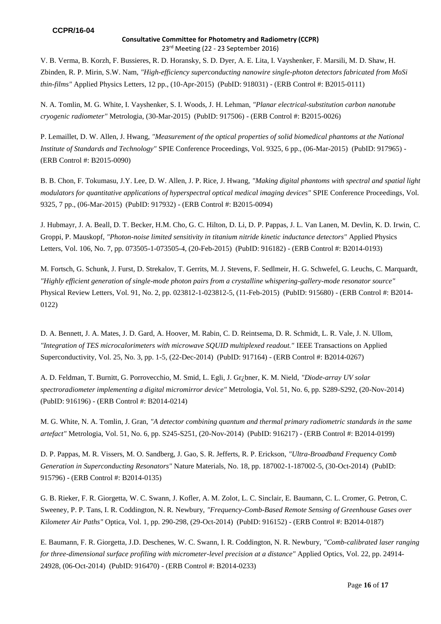V. B. Verma, B. Korzh, F. Bussieres, R. D. Horansky, S. D. Dyer, A. E. Lita, I. Vayshenker, F. Marsili, M. D. Shaw, H. Zbinden, R. P. Mirin, S.W. Nam, *"High-efficiency superconducting nanowire single-photon detectors fabricated from MoSi thin-films"* Applied Physics Letters, 12 pp., (10-Apr-2015) (PubID: 918031) - (ERB Control #: B2015-0111)

 N. A. Tomlin, M. G. White, I. Vayshenker, S. I. Woods, J. H. Lehman, *"Planar electrical-substitution carbon nanotube cryogenic radiometer"* Metrologia, (30-Mar-2015) (PubID: 917506) - (ERB Control #: B2015-0026)

P. Lemaillet, D. W. Allen, J. Hwang, *"Measurement of the optical properties of solid biomedical phantoms at the National Institute of Standards and Technology"* SPIE Conference Proceedings, Vol. 9325, 6 pp., (06-Mar-2015) (PubID: 917965) - (ERB Control #: B2015-0090)

B. B. Chon, F. Tokumasu, J.Y. Lee, D. W. Allen, J. P. Rice, J. Hwang, *"Making digital phantoms with spectral and spatial light modulators for quantitative applications of hyperspectral optical medical imaging devices"* SPIE Conference Proceedings, Vol. 9325, 7 pp., (06-Mar-2015) (PubID: 917932) - (ERB Control #: B2015-0094)

 J. Hubmayr, J. A. Beall, D. T. Becker, H.M. Cho, G. C. Hilton, D. Li, D. P. Pappas, J. L. Van Lanen, M. Devlin, K. D. Irwin, C. Groppi, P. Mauskopf, *"Photon-noise limited sensitivity in titanium nitride kinetic inductance detectors"* Applied Physics Letters, Vol. 106, No. 7, pp. 073505-1-073505-4, (20-Feb-2015) (PubID: 916182) - (ERB Control #: B2014-0193)

 M. Fortsch, G. Schunk, J. Furst, D. Strekalov, T. Gerrits, M. J. Stevens, F. Sedlmeir, H. G. Schwefel, G. Leuchs, C. Marquardt, *"Highly efficient generation of single-mode photon pairs from a crystalline whispering-gallery-mode resonator source"*  Physical Review Letters, Vol. 91, No. 2, pp. 023812-1-023812-5, (11-Feb-2015) (PubID: 915680) - (ERB Control #: B2014- 0122)

 D. A. Bennett, J. A. Mates, J. D. Gard, A. Hoover, M. Rabin, C. D. Reintsema, D. R. Schmidt, L. R. Vale, J. N. Ullom, *"Integration of TES microcalorimeters with microwave SQUID multiplexed readout."* IEEE Transactions on Applied Superconductivity, Vol. 25, No. 3, pp. 1-5, (22-Dec-2014) (PubID: 917164) - (ERB Control #: B2014-0267)

 A. D. Feldman, T. Burnitt, G. Porrovecchio, M. Smid, L. Egli, J. Gr¿bner, K. M. Nield, *"Diode-array UV solar spectroradiometer implementing a digital micromirror device"* Metrologia, Vol. 51, No. 6, pp. S289-S292, (20-Nov-2014) (PubID: 916196) - (ERB Control #: B2014-0214)

 M. G. White, N. A. Tomlin, J. Gran, *"A detector combining quantum and thermal primary radiometric standards in the same artefact"* Metrologia, Vol. 51, No. 6, pp. S245-S251, (20-Nov-2014) (PubID: 916217) - (ERB Control #: B2014-0199)

 D. P. Pappas, M. R. Vissers, M. O. Sandberg, J. Gao, S. R. Jefferts, R. P. Erickson, *"Ultra-Broadband Frequency Comb Generation in Superconducting Resonators"* Nature Materials, No. 18, pp. 187002-1-187002-5, (30-Oct-2014) (PubID: 915796) - (ERB Control #: B2014-0135)

 G. B. Rieker, F. R. Giorgetta, W. C. Swann, J. Kofler, A. M. Zolot, L. C. Sinclair, E. Baumann, C. L. Cromer, G. Petron, C. Sweeney, P. P. Tans, I. R. Coddington, N. R. Newbury, *"Frequency-Comb-Based Remote Sensing of Greenhouse Gases over Kilometer Air Paths"* Optica, Vol. 1, pp. 290-298, (29-Oct-2014) (PubID: 916152) - (ERB Control #: B2014-0187)

 E. Baumann, F. R. Giorgetta, J.D. Deschenes, W. C. Swann, I. R. Coddington, N. R. Newbury, *"Comb-calibrated laser ranging for three-dimensional surface profiling with micrometer-level precision at a distance"* Applied Optics, Vol. 22, pp. 24914- 24928, (06-Oct-2014) (PubID: 916470) - (ERB Control #: B2014-0233)